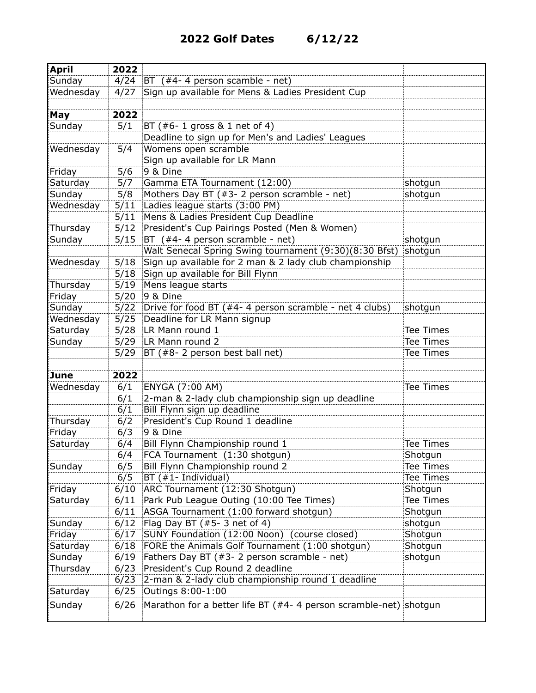| <b>April</b> | 2022 |                                                                     |                  |
|--------------|------|---------------------------------------------------------------------|------------------|
| Sunday       |      | 4/24 BT $(*4-4$ person scamble - net)                               |                  |
| Wednesday    |      | 4/27 Sign up available for Mens & Ladies President Cup              |                  |
|              |      |                                                                     |                  |
| May          | 2022 |                                                                     |                  |
| Sunday       | 5/1  | BT (#6- 1 gross & 1 net of 4)                                       |                  |
|              |      | Deadline to sign up for Men's and Ladies' Leagues                   |                  |
| Wednesday    | 5/4  | Womens open scramble                                                |                  |
|              |      | Sign up available for LR Mann                                       |                  |
| Friday       | 5/6  | 9 & Dine                                                            |                  |
| Saturday     | 5/7  | Gamma ETA Tournament (12:00)                                        | shotgun          |
| Sunday       | 5/8  | Mothers Day BT (#3- 2 person scramble - net)                        | shotgun          |
| Wednesday    | 5/11 | Ladies league starts (3:00 PM)                                      |                  |
|              | 5/11 | Mens & Ladies President Cup Deadline                                |                  |
| Thursday     | 5/12 | President's Cup Pairings Posted (Men & Women)                       |                  |
| Sunday       | 5/15 | BT (#4-4 person scramble - net)                                     | shotgun          |
|              |      | Walt Senecal Spring Swing tournament (9:30)(8:30 Bfst)              | shotgun          |
| Wednesday    | 5/18 | Sign up available for 2 man & 2 lady club championship              |                  |
|              | 5/18 | Sign up available for Bill Flynn                                    |                  |
| Thursday     | 5/19 | Mens league starts                                                  |                  |
| Friday       | 5/20 | 9 & Dine                                                            |                  |
| Sunday       | 5/22 | Drive for food BT $(#4-4$ person scramble - net 4 clubs)            | shotgun          |
| Wednesday    |      | 5/25 Deadline for LR Mann signup                                    |                  |
| Saturday     | 5/28 | LR Mann round 1                                                     | Tee Times        |
| Sunday       |      | 5/29 LR Mann round 2                                                | Tee Times        |
|              | 5/29 | BT (#8-2 person best ball net)                                      | Tee Times        |
|              |      |                                                                     |                  |
| June         | 2022 |                                                                     |                  |
| Wednesday    | 6/1  | ENYGA (7:00 AM)                                                     | Tee Times        |
|              | 6/1  | 2-man & 2-lady club championship sign up deadline                   |                  |
|              | 6/1  | Bill Flynn sign up deadline                                         |                  |
| Thursday     | 6/2  | President's Cup Round 1 deadline                                    |                  |
| Friday       | 6/3  | 9 & Dine                                                            |                  |
| Saturday     | 6/4  | Bill Flynn Championship round 1                                     | <b>Tee Times</b> |
| .            | 6/4  | FCA Tournament (1:30 shotgun)                                       | Shotgun          |
| Sunday       | 6/5  | Bill Flynn Championship round 2                                     | Tee Times        |
|              | 6/5  | $BT$ (#1- Individual)                                               | Tee Times        |
| Friday       | 6/10 | ARC Tournament (12:30 Shotgun)                                      | Shotgun          |
| Saturday     | 6/11 | Park Pub League Outing (10:00 Tee Times)                            | Tee Times        |
|              | 6/11 | ASGA Tournament (1:00 forward shotgun)                              | Shotgun          |
| Sunday       | 6/12 | Flag Day BT (#5-3 net of 4)                                         | shotgun          |
| Friday       | 6/17 | SUNY Foundation (12:00 Noon) (course closed)                        | Shotgun          |
| Saturday     | 6/18 | FORE the Animals Golf Tournament (1:00 shotgun)                     | Shotgun          |
| Sunday       | 6/19 | Fathers Day BT (#3- 2 person scramble - net)                        | shotgun          |
| Thursday     | 6/23 | President's Cup Round 2 deadline                                    |                  |
|              | 6/23 | 2-man & 2-lady club championship round 1 deadline                   |                  |
| Saturday     | 6/25 | Outings 8:00-1:00                                                   |                  |
| Sunday       | 6/26 | Marathon for a better life BT ( $#4-4$ person scramble-net) shotgun |                  |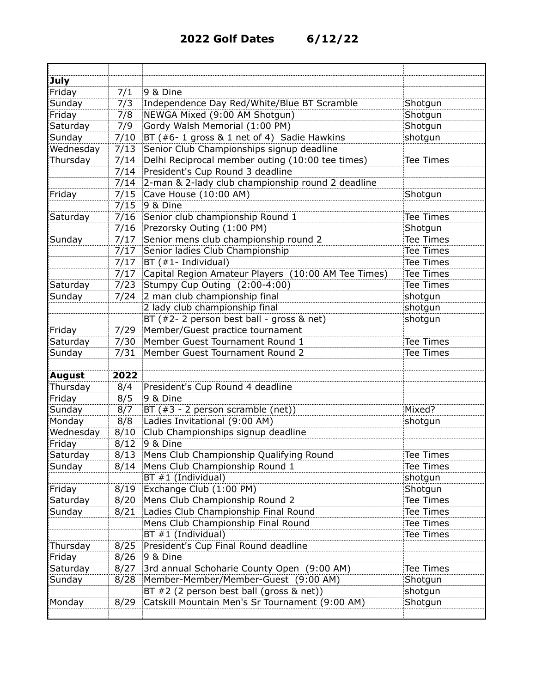| <b>July</b> |      |                                                          |                  |
|-------------|------|----------------------------------------------------------|------------------|
| Friday      | 7/1  | 9 & Dine                                                 |                  |
| Sunday      | 7/3  | Independence Day Red/White/Blue BT Scramble              | Shotgun          |
| Friday      | 7/8  | NEWGA Mixed (9:00 AM Shotgun)                            | Shotgun          |
| Saturday    | 7/9  | Gordy Walsh Memorial (1:00 PM)                           | Shotgun          |
| Sunday      | 7/10 | BT (#6- 1 gross & 1 net of 4) Sadie Hawkins              | shotgun          |
| Wednesday   | 7/13 | Senior Club Championships signup deadline                |                  |
| Thursday    | 7/14 | Delhi Reciprocal member outing (10:00 tee times)         | Tee Times        |
|             |      | 7/14 President's Cup Round 3 deadline                    |                  |
|             |      | 7/14 2-man & 2-lady club championship round 2 deadline   |                  |
| Friday      |      | 7/15 Cave House (10:00 AM)                               | Shotgun          |
|             |      | 7/15 9 & Dine                                            |                  |
| Saturday    |      | 7/16 Senior club championship Round 1                    | Tee Times        |
|             |      | 7/16 Prezorsky Outing (1:00 PM)                          | Shotgun          |
| Sunday      |      | 7/17 Senior mens club championship round 2               | Tee Times        |
|             |      | 7/17 Senior ladies Club Championship                     | <b>Tee Times</b> |
|             |      | $7/17$ BT (#1- Individual)                               | Tee Times        |
|             |      | 7/17 Capital Region Amateur Players (10:00 AM Tee Times) | Tee Times        |
| Saturday    |      | 7/23 Stumpy Cup Outing (2:00-4:00)                       | <b>Tee Times</b> |
| Sunday      | 7/24 | 2 man club championship final                            | shotgun          |
|             |      | 2 lady club championship final                           | shotgun          |
|             |      | BT (#2-2 person best ball - gross & net)                 | shotgun          |
| Friday      | 7/29 | Member/Guest practice tournament                         |                  |
| Saturday    | 7/30 | Member Guest Tournament Round 1                          | Tee Times        |
| Sunday      | 7/31 | Member Guest Tournament Round 2                          | Tee Times        |
|             |      |                                                          |                  |
| August      | 2022 |                                                          |                  |
| Thursday    | 8/4  | President's Cup Round 4 deadline                         |                  |
| Friday      | 8/5  | 9 & Dine                                                 |                  |
| Sunday      | 8/7  | BT (#3 - 2 person scramble (net))                        | Mixed?           |
| Monday      | 8/8  | Ladies Invitational (9:00 AM)                            | shotgun          |
| Wednesday   | 8/10 | Club Championships signup deadline                       |                  |
| Friday      |      | 8/12 9 & Dine                                            |                  |
| Saturday    |      | 8/13 Mens Club Championship Qualifying Round             | <b>Tee Times</b> |
| Sunday      |      | 8/14 Mens Club Championship Round 1                      | Tee Times        |
|             |      | BT #1 (Individual)                                       | shotgun          |
| Friday      | 8/19 | Exchange Club (1:00 PM)                                  | Shotgun          |
| Saturday    | 8/20 | Mens Club Championship Round 2                           | Tee Times        |
| Sunday      | 8/21 | Ladies Club Championship Final Round                     | Tee Times        |
|             |      | Mens Club Championship Final Round                       | <b>Tee Times</b> |
|             |      | BT #1 (Individual)                                       | Tee Times        |
| Thursday    | 8/25 | President's Cup Final Round deadline                     |                  |
| Friday      | 8/26 | 9 & Dine                                                 |                  |
| Saturday    | 8/27 | 3rd annual Schoharie County Open (9:00 AM)               | Tee Times        |
|             |      |                                                          |                  |
| Sunday      | 8/28 | Member-Member/Member-Guest (9:00 AM)                     | Shotgun          |
|             |      | BT $#2$ (2 person best ball (gross & net))               | shotgun          |
| Monday      | 8/29 | Catskill Mountain Men's Sr Tournament (9:00 AM)          | Shotgun          |